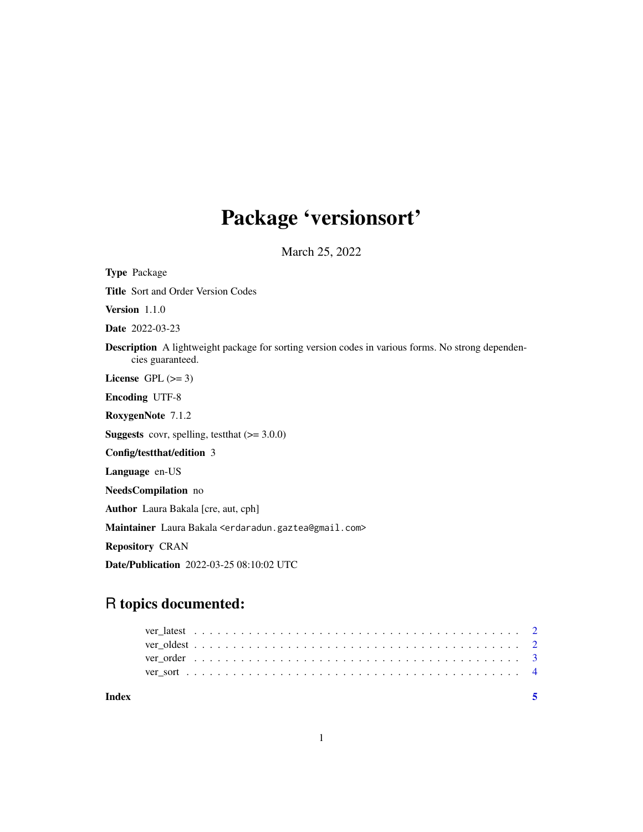## Package 'versionsort'

March 25, 2022

<span id="page-0-0"></span>Type Package Title Sort and Order Version Codes Version 1.1.0 Date 2022-03-23 Description A lightweight package for sorting version codes in various forms. No strong dependencies guaranteed. License GPL  $(>= 3)$ Encoding UTF-8 RoxygenNote 7.1.2 **Suggests** covr, spelling, test that  $(>= 3.0.0)$ Config/testthat/edition 3 Language en-US NeedsCompilation no Author Laura Bakala [cre, aut, cph] Maintainer Laura Bakala <erdaradun.gaztea@gmail.com> Repository CRAN Date/Publication 2022-03-25 08:10:02 UTC

## R topics documented:

| Index |  |  |  |  |  |  |  |  |  |  |  |  |  |  |  |  |  |  |  |  |  |
|-------|--|--|--|--|--|--|--|--|--|--|--|--|--|--|--|--|--|--|--|--|--|
|       |  |  |  |  |  |  |  |  |  |  |  |  |  |  |  |  |  |  |  |  |  |
|       |  |  |  |  |  |  |  |  |  |  |  |  |  |  |  |  |  |  |  |  |  |
|       |  |  |  |  |  |  |  |  |  |  |  |  |  |  |  |  |  |  |  |  |  |
|       |  |  |  |  |  |  |  |  |  |  |  |  |  |  |  |  |  |  |  |  |  |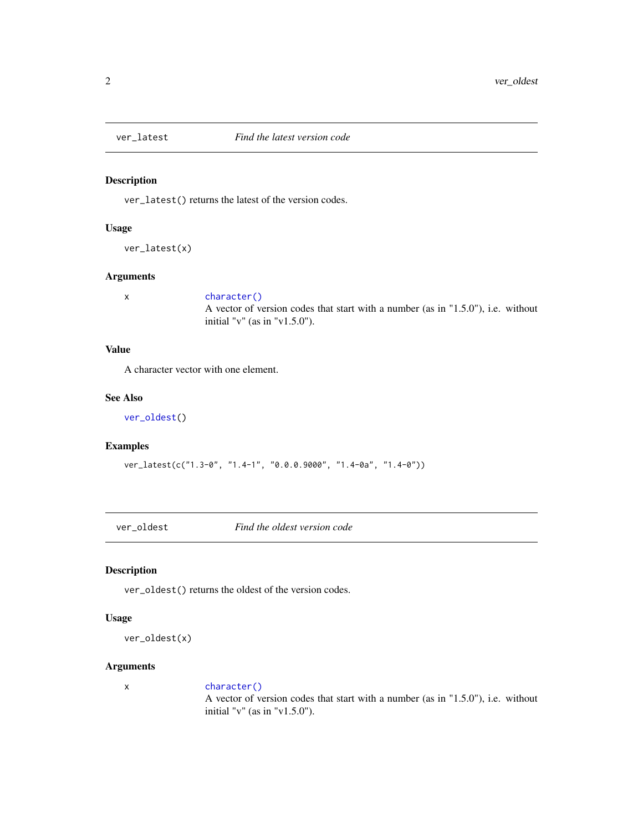<span id="page-1-2"></span><span id="page-1-0"></span>

#### Description

ver\_latest() returns the latest of the version codes.

#### Usage

```
ver_latest(x)
```
#### Arguments

#### x [character\(\)](#page-0-0)

A vector of version codes that start with a number (as in "1.5.0"), i.e. without initial "v" (as in "v1.5.0").

#### Value

A character vector with one element.

#### See Also

[ver\\_oldest\(](#page-1-1))

#### Examples

```
ver_latest(c("1.3-0", "1.4-1", "0.0.0.9000", "1.4-0a", "1.4-0"))
```
<span id="page-1-1"></span>ver\_oldest *Find the oldest version code*

#### Description

ver\_oldest() returns the oldest of the version codes.

#### Usage

```
ver_oldest(x)
```
#### Arguments

x [character\(\)](#page-0-0) A vector of version codes that start with a number (as in "1.5.0"), i.e. without initial "v" (as in "v1.5.0").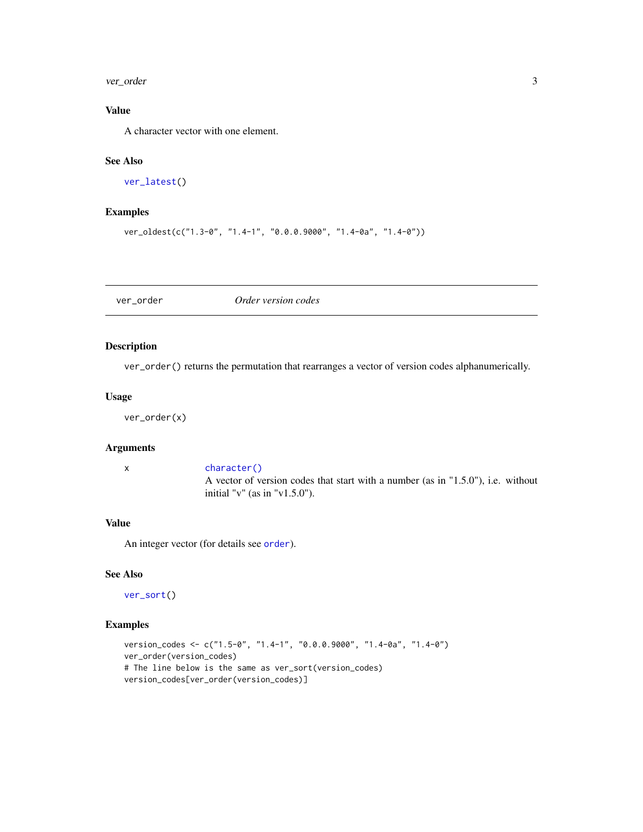<span id="page-2-0"></span>ver\_order 3

### Value

A character vector with one element.

#### See Also

[ver\\_latest\(](#page-1-2))

#### Examples

```
ver_oldest(c("1.3-0", "1.4-1", "0.0.0.9000", "1.4-0a", "1.4-0"))
```
<span id="page-2-1"></span>ver\_order *Order version codes*

#### Description

ver\_order() returns the permutation that rearranges a vector of version codes alphanumerically.

#### Usage

ver\_order(x)

#### Arguments

x [character\(\)](#page-0-0)

A vector of version codes that start with a number (as in "1.5.0"), i.e. without initial "v" (as in "v1.5.0").

#### Value

An integer vector (for details see [order](#page-0-0)).

#### See Also

[ver\\_sort\(](#page-3-1))

#### Examples

```
version_codes <- c("1.5-0", "1.4-1", "0.0.0.9000", "1.4-0a", "1.4-0")
ver_order(version_codes)
# The line below is the same as ver_sort(version_codes)
version_codes[ver_order(version_codes)]
```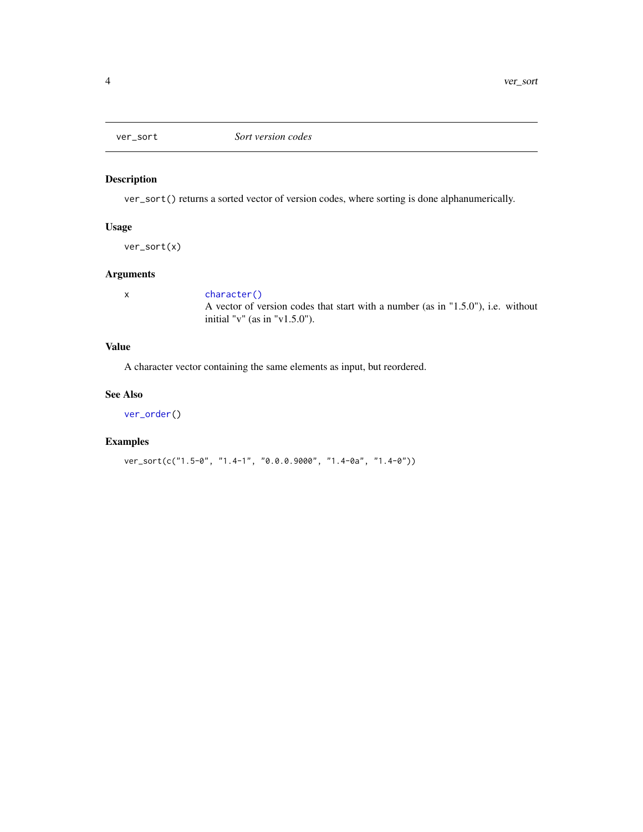<span id="page-3-1"></span><span id="page-3-0"></span>

### Description

ver\_sort() returns a sorted vector of version codes, where sorting is done alphanumerically.

#### Usage

ver\_sort(x)

#### Arguments

x [character\(\)](#page-0-0) A vector of version codes that start with a number (as in "1.5.0"), i.e. without initial "v" (as in "v1.5.0").

#### Value

A character vector containing the same elements as input, but reordered.

#### See Also

[ver\\_order\(](#page-2-1))

#### Examples

ver\_sort(c("1.5-0", "1.4-1", "0.0.0.9000", "1.4-0a", "1.4-0"))